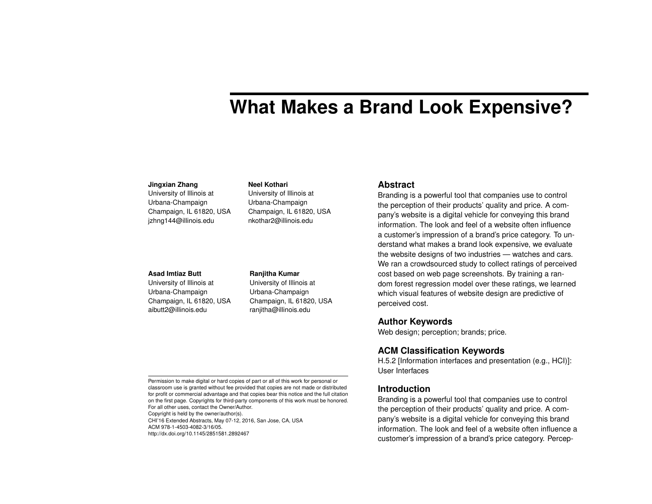# **What Makes a Brand Look Expensive?**

#### **Jingxian Zhang**

University of Illinois at Urbana-Champaign Champaign, IL 61820, USA jzhng144@illinois.edu

#### **Asad Imtiaz Butt**

University of Illinois at Urbana-Champaign Champaign, IL 61820, USA aibutt2@illinois.edu

#### **Ranjitha Kumar**

**Neel Kothari** University of Illinois at Urbana-Champaign Champaign, IL 61820, USA nkothar2@illinois.edu

University of Illinois at Urbana-Champaign Champaign, IL 61820, USA ranjitha@illinois.edu

#### **Abstract**

Branding is a powerful tool that companies use to control the perception of their products' quality and price. A company's website is a digital vehicle for conveying this brand information. The look and feel of a website often influence a customer's impression of a brand's price category. To understand what makes a brand look expensive, we evaluate the website designs of two industries — watches and cars. We ran a crowdsourced study to collect ratings of perceived cost based on web page screenshots. By training a random forest regression model over these ratings, we learned which visual features of website design are predictive of perceived cost.

# **Author Keywords**

Web design; perception; brands; price.

# **ACM Classification Keywords**

H.5.2 [Information interfaces and presentation (e.g., HCI)]: User Interfaces

#### **Introduction**

Branding is a powerful tool that companies use to control the perception of their products' quality and price. A company's website is a digital vehicle for conveying this brand information. The look and feel of a website often influence a customer's impression of a brand's price category. Percep-

Permission to make digital or hard copies of part or all of this work for personal or classroom use is granted without fee provided that copies are not made or distributed for profit or commercial advantage and that copies bear this notice and the full citation on the first page. Copyrights for third-party components of this work must be honored. For all other uses, contact the Owner/Author.

Copyright is held by the owner/author(s).

CHI'16 Extended Abstracts, May 07-12, 2016, San Jose, CA, USA ACM 978-1-4503-4082-3/16/05. http://dx.doi.org/10.1145/2851581.2892467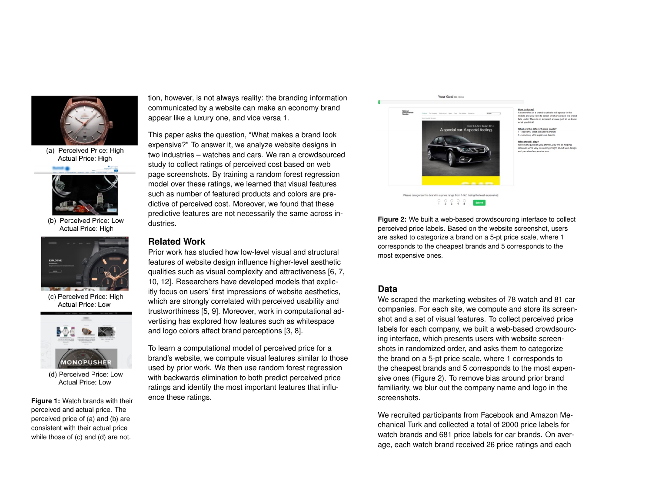

(a) Perceived Price: High Actual Price: High



(b) Perceived Price: Low Actual Price: High



(c) Perceived Price: High **Actual Price: Low** 



(d) Perceived Price: Low **Actual Price: Low** 

<span id="page-1-0"></span>**Figure 1:** Watch brands with their perceived and actual price. The perceived price of (a) and (b) are consistent with their actual price while those of (c) and (d) are not.

tion, however, is not always reality: the branding information communicated by a website can make an economy brand appear like a luxury one, and vice versa [1.](#page-1-0)

This paper asks the question, "What makes a brand look expensive?" To answer it, we analyze website designs in two industries – watches and cars. We ran a crowdsourced study to collect ratings of perceived cost based on web page screenshots. By training a random forest regression model over these ratings, we learned that visual features such as number of featured products and colors are predictive of perceived cost. Moreover, we found that these predictive features are not necessarily the same across industries.

### **Related Work**

Prior work has studied how low-level visual and structural features of website design influence higher-level aesthetic qualities such as visual complexity and attractiveness [\[6,](#page-4-0) [7,](#page-4-1) [10,](#page-5-0) [12\]](#page-5-1). Researchers have developed models that explicitly focus on users' first impressions of website aesthetics, which are strongly correlated with perceived usability and trustworthiness [\[5,](#page-4-2) [9\]](#page-5-2). Moreover, work in computational advertising has explored how features such as whitespace and logo colors affect brand perceptions [\[3,](#page-4-3) [8\]](#page-5-3).

To learn a computational model of perceived price for a brand's website, we compute visual features similar to those used by prior work. We then use random forest regression with backwards elimination to both predict perceived price ratings and identify the most important features that influence these ratings.

#### Your Goal 80 clicks

<span id="page-1-1"></span>

How do I play?<br>A screenshot of a brand's website will appear in the<br>middle and you have to select what price level the brand<br>falls under. There is no incorrect answer, just let us know<br>what you think!

What are the different price levels?

Why should I play? etery.t<br>Istion you answer, you will be helping



## **Data**

We scraped the marketing websites of 78 watch and 81 car companies. For each site, we compute and store its screenshot and a set of visual features. To collect perceived price labels for each company, we built a web-based crowdsourcing interface, which presents users with website screenshots in randomized order, and asks them to categorize the brand on a 5-pt price scale, where 1 corresponds to the cheapest brands and 5 corresponds to the most expensive ones (Figure [2\)](#page-1-1). To remove bias around prior brand familiarity, we blur out the company name and logo in the screenshots.

We recruited participants from Facebook and Amazon Mechanical Turk and collected a total of 2000 price labels for watch brands and 681 price labels for car brands. On average, each watch brand received 26 price ratings and each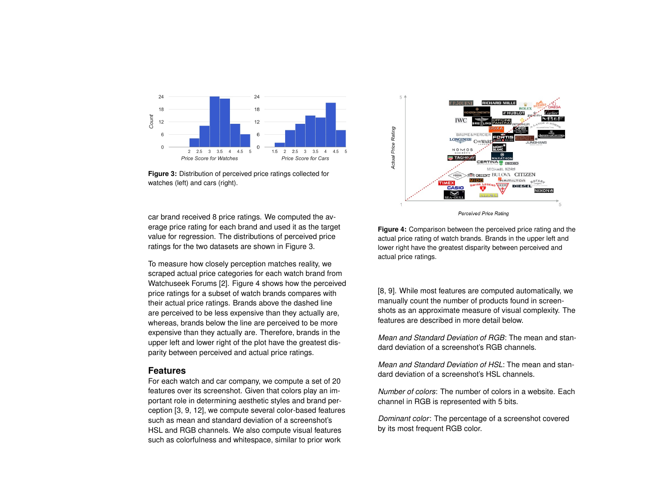<span id="page-2-0"></span>

**Figure 3:** Distribution of perceived price ratings collected for watches (left) and cars (right).

car brand received 8 price ratings. We computed the average price rating for each brand and used it as the target value for regression. The distributions of perceived price ratings for the two datasets are shown in Figure [3.](#page-2-0)

To measure how closely perception matches reality, we scraped actual price categories for each watch brand from Watchuseek Forums [\[2\]](#page-4-4). Figure [4](#page-2-1) shows how the perceived price ratings for a subset of watch brands compares with their actual price ratings. Brands above the dashed line are perceived to be less expensive than they actually are, whereas, brands below the line are perceived to be more expensive than they actually are. Therefore, brands in the upper left and lower right of the plot have the greatest disparity between perceived and actual price ratings.

#### **Features**

For each watch and car company, we compute a set of 20 features over its screenshot. Given that colors play an important role in determining aesthetic styles and brand perception [\[3,](#page-4-3) [9,](#page-5-2) [12\]](#page-5-1), we compute several color-based features such as mean and standard deviation of a screenshot's HSL and RGB channels. We also compute visual features such as colorfulness and whitespace, similar to prior work

<span id="page-2-1"></span>

**Figure 4:** Comparison between the perceived price rating and the actual price rating of watch brands. Brands in the upper left and lower right have the greatest disparity between perceived and actual price ratings.

[\[8,](#page-5-3) [9\]](#page-5-2). While most features are computed automatically, we manually count the number of products found in screenshots as an approximate measure of visual complexity. The features are described in more detail below.

*Mean and Standard Deviation of RGB*: The mean and standard deviation of a screenshot's RGB channels.

*Mean and Standard Deviation of HSL*: The mean and standard deviation of a screenshot's HSL channels.

*Number of colors*: The number of colors in a website. Each channel in RGB is represented with 5 bits.

*Dominant color*: The percentage of a screenshot covered by its most frequent RGB color.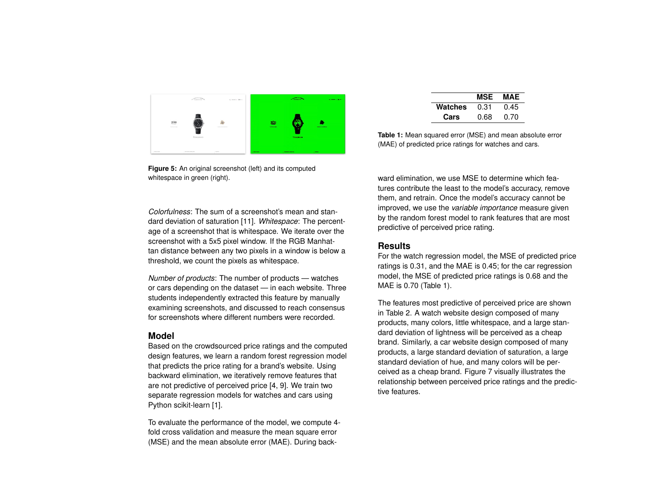

**Figure 5:** An original screenshot (left) and its computed whitespace in green (right).

*Colorfulness*: The sum of a screenshot's mean and standard deviation of saturation [\[11\]](#page-5-4). *Whitespace*: The percentage of a screenshot that is whitespace. We iterate over the screenshot with a 5x5 pixel window. If the RGB Manhattan distance between any two pixels in a window is below a threshold, we count the pixels as whitespace.

*Number of products*: The number of products — watches or cars depending on the dataset — in each website. Three students independently extracted this feature by manually examining screenshots, and discussed to reach consensus for screenshots where different numbers were recorded.

#### **Model**

Based on the crowdsourced price ratings and the computed design features, we learn a random forest regression model that predicts the price rating for a brand's website. Using backward elimination, we iteratively remove features that are not predictive of perceived price [\[4,](#page-4-5) [9\]](#page-5-2). We train two separate regression models for watches and cars using Python scikit-learn [\[1\]](#page-4-6).

To evaluate the performance of the model, we compute 4 fold cross validation and measure the mean square error (MSE) and the mean absolute error (MAE). During back-

|         | MSE  | MAE  |
|---------|------|------|
| Watches | 0.31 | 0.45 |
| Cars    | 0.68 | 0.70 |

<span id="page-3-0"></span>**Table 1:** Mean squared error (MSE) and mean absolute error (MAE) of predicted price ratings for watches and cars.

ward elimination, we use MSE to determine which features contribute the least to the model's accuracy, remove them, and retrain. Once the model's accuracy cannot be improved, we use the *variable importance* measure given by the random forest model to rank features that are most predictive of perceived price rating.

#### **Results**

For the watch regression model, the MSE of predicted price ratings is 0.31, and the MAE is 0.45; for the car regression model, the MSE of predicted price ratings is 0.68 and the MAE is 0.70 (Table [1\)](#page-3-0).

The features most predictive of perceived price are shown in Table [2.](#page-4-7) A watch website design composed of many products, many colors, little whitespace, and a large standard deviation of lightness will be perceived as a cheap brand. Similarly, a car website design composed of many products, a large standard deviation of saturation, a large standard deviation of hue, and many colors will be perceived as a cheap brand. Figure [7](#page-5-5) visually illustrates the relationship between perceived price ratings and the predictive features.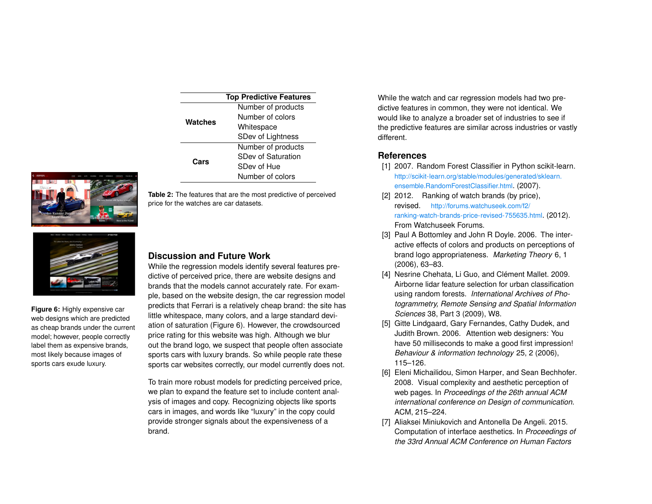<span id="page-4-7"></span>

| <b>Top Predictive Features</b> |                    |  |
|--------------------------------|--------------------|--|
| Watches                        | Number of products |  |
|                                | Number of colors   |  |
|                                | Whitespace         |  |
|                                | SDev of Lightness  |  |
| Cars                           | Number of products |  |
|                                | SDev of Saturation |  |
|                                | SDev of Hue        |  |
|                                | Number of colors   |  |



**Table 2:** The features that are the most predictive of perceived price for the watches are car datasets.



<span id="page-4-8"></span>**Figure 6:** Highly expensive car web designs which are predicted as cheap brands under the current model; however, people correctly label them as expensive brands, most likely because images of sports cars exude luxury.

# **Discussion and Future Work**

While the regression models identify several features predictive of perceived price, there are website designs and brands that the models cannot accurately rate. For example, based on the website design, the car regression model predicts that Ferrari is a relatively cheap brand: the site has little whitespace, many colors, and a large standard deviation of saturation (Figure [6\)](#page-4-8). However, the crowdsourced price rating for this website was high. Although we blur out the brand logo, we suspect that people often associate sports cars with luxury brands. So while people rate these sports car websites correctly, our model currently does not.

To train more robust models for predicting perceived price, we plan to expand the feature set to include content analysis of images and copy. Recognizing objects like sports cars in images, and words like "luxury" in the copy could provide stronger signals about the expensiveness of a brand.

While the watch and car regression models had two predictive features in common, they were not identical. We would like to analyze a broader set of industries to see if the predictive features are similar across industries or vastly different.

### **References**

- <span id="page-4-6"></span>[1] 2007. Random Forest Classifier in Python scikit-learn. [http://scikit-learn.org/stable/modules/generated/sklearn.](http://scikit-learn.org/stable/modules/generated/sklearn.ensemble.RandomForestClassifier.html) [ensemble.RandomForestClassifier.html](http://scikit-learn.org/stable/modules/generated/sklearn.ensemble.RandomForestClassifier.html). (2007).
- <span id="page-4-4"></span>[2] 2012. Ranking of watch brands (by price), revised. [http://forums.watchuseek.com/f2/](http://forums.watchuseek.com/f2/ranking-watch-brands-price-revised-755635.html) [ranking-watch-brands-price-revised-755635.html](http://forums.watchuseek.com/f2/ranking-watch-brands-price-revised-755635.html). (2012). From Watchuseek Forums.
- <span id="page-4-3"></span>[3] Paul A Bottomley and John R Doyle. 2006. The interactive effects of colors and products on perceptions of brand logo appropriateness. *Marketing Theory* 6, 1 (2006), 63–83.
- <span id="page-4-5"></span>[4] Nesrine Chehata, Li Guo, and Clément Mallet. 2009. Airborne lidar feature selection for urban classification using random forests. *International Archives of Photogrammetry, Remote Sensing and Spatial Information Sciences* 38, Part 3 (2009), W8.
- <span id="page-4-2"></span>[5] Gitte Lindgaard, Gary Fernandes, Cathy Dudek, and Judith Brown. 2006. Attention web designers: You have 50 milliseconds to make a good first impression! *Behaviour & information technology* 25, 2 (2006), 115–126.
- <span id="page-4-0"></span>[6] Eleni Michailidou, Simon Harper, and Sean Bechhofer. 2008. Visual complexity and aesthetic perception of web pages. In *Proceedings of the 26th annual ACM international conference on Design of communication*. ACM, 215–224.
- <span id="page-4-1"></span>[7] Aliaksei Miniukovich and Antonella De Angeli. 2015. Computation of interface aesthetics. In *Proceedings of the 33rd Annual ACM Conference on Human Factors*